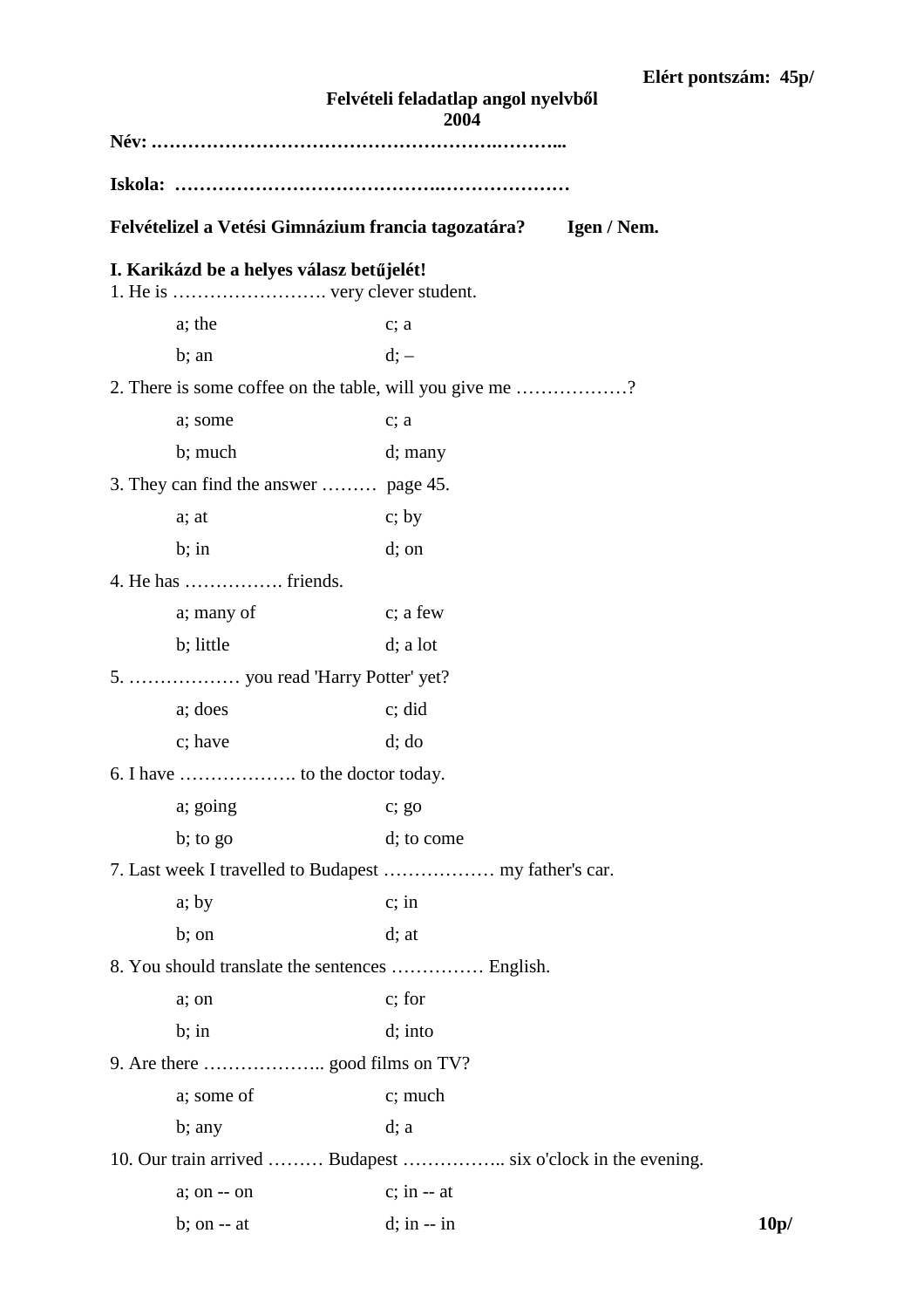| Felvételi feladatlap angol nyelvből<br>2004              |                |             |      |  |  |  |  |  |
|----------------------------------------------------------|----------------|-------------|------|--|--|--|--|--|
|                                                          |                |             |      |  |  |  |  |  |
|                                                          |                |             |      |  |  |  |  |  |
| Felvételizel a Vetési Gimnázium francia tagozatára?      |                | Igen / Nem. |      |  |  |  |  |  |
| I. Karikázd be a helyes válasz betűjelét!                |                |             |      |  |  |  |  |  |
| a; the                                                   | $c$ ; a        |             |      |  |  |  |  |  |
| $b$ ; an                                                 | $d$ ; $-$      |             |      |  |  |  |  |  |
| 2. There is some coffee on the table, will you give me ? |                |             |      |  |  |  |  |  |
| a; some                                                  | c; a           |             |      |  |  |  |  |  |
| b; much                                                  | d; many        |             |      |  |  |  |  |  |
| 3. They can find the answer  page 45.                    |                |             |      |  |  |  |  |  |
| a; at                                                    | c; by          |             |      |  |  |  |  |  |
| $b;$ in                                                  | $d$ ; on       |             |      |  |  |  |  |  |
| 4. He has  friends.                                      |                |             |      |  |  |  |  |  |
| a; many of                                               | c; a few       |             |      |  |  |  |  |  |
| b; little                                                | $d$ ; a lot    |             |      |  |  |  |  |  |
| 5.  you read 'Harry Potter' yet?                         |                |             |      |  |  |  |  |  |
| a; does                                                  | c; did         |             |      |  |  |  |  |  |
| c; have                                                  | $d$ ; $d$      |             |      |  |  |  |  |  |
|                                                          |                |             |      |  |  |  |  |  |
| a; going                                                 | $c$ ; go       |             |      |  |  |  |  |  |
| $\mathbf{b}$ ; to go                                     | d; to come     |             |      |  |  |  |  |  |
|                                                          |                |             |      |  |  |  |  |  |
| a; by                                                    | $c$ ; in       |             |      |  |  |  |  |  |
| b; on                                                    | $d$ ; at       |             |      |  |  |  |  |  |
| 8. You should translate the sentences  English.          |                |             |      |  |  |  |  |  |
| a; on                                                    | c; for         |             |      |  |  |  |  |  |
| $b;$ in                                                  | $d$ ; into     |             |      |  |  |  |  |  |
|                                                          |                |             |      |  |  |  |  |  |
| a; some of                                               | c; much        |             |      |  |  |  |  |  |
| b; any                                                   | $d$ ; a        |             |      |  |  |  |  |  |
|                                                          |                |             |      |  |  |  |  |  |
| $a$ ; on $-$ on                                          | $c;$ in $-$ at |             |      |  |  |  |  |  |
| $b$ ; on $-$ at                                          | $d;$ in $-$ in |             | 10p/ |  |  |  |  |  |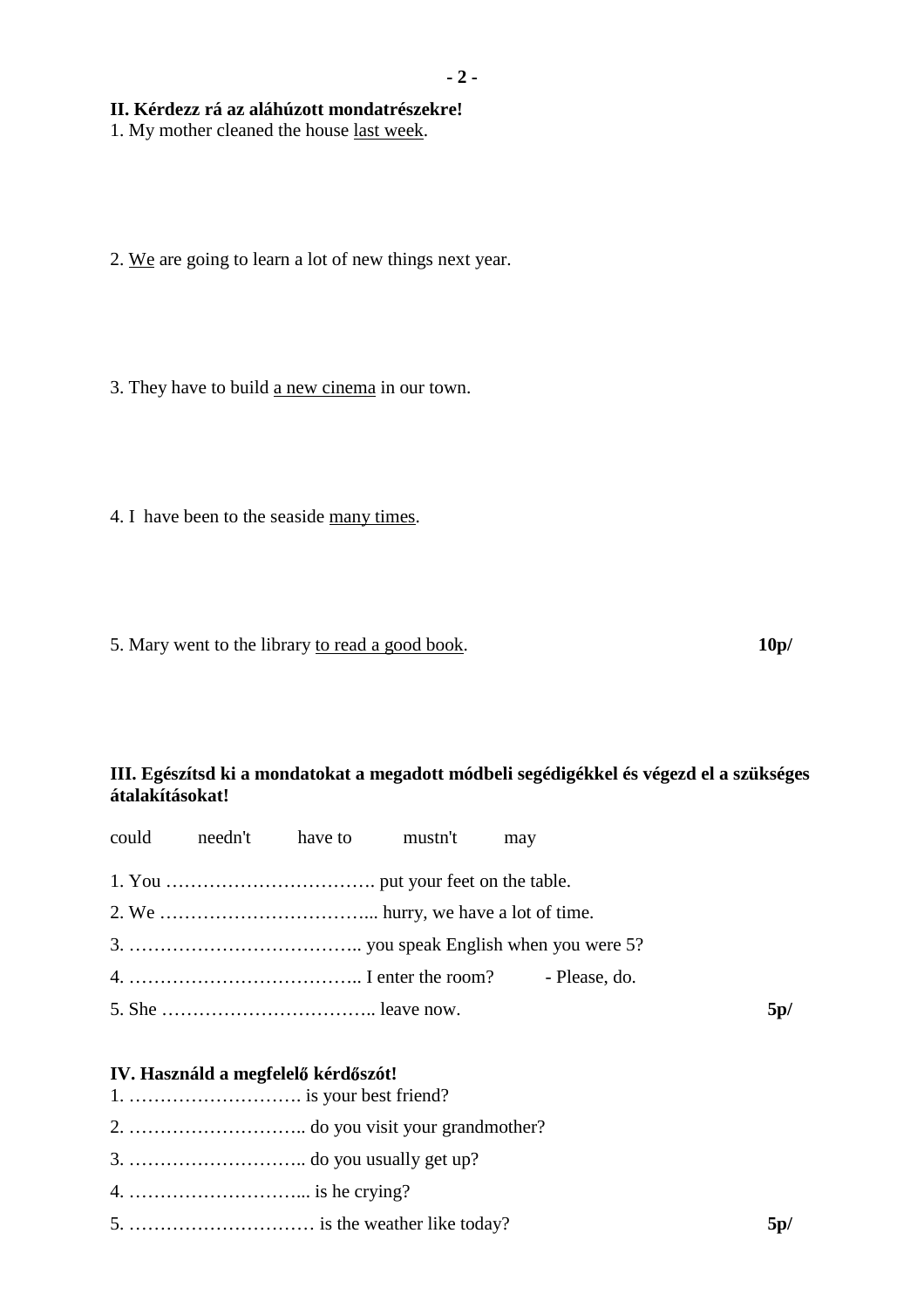#### **II. Kérdezz rá az aláhúzott mondatrészekre!**

1. My mother cleaned the house last week.

2. We are going to learn a lot of new things next year.

3. They have to build a new cinema in our town.

4. I have been to the seaside many times.

5. Mary went to the library to read a good book. **10p/**

## **III. Egészítsd ki a mondatokat a megadott módbeli segédigékkel és végezd el a szükséges átalakításokat!**

|  |                                     | could needn't have to mustn't | may |  |     |
|--|-------------------------------------|-------------------------------|-----|--|-----|
|  |                                     |                               |     |  |     |
|  |                                     |                               |     |  |     |
|  |                                     |                               |     |  |     |
|  |                                     |                               |     |  |     |
|  |                                     |                               |     |  | 5p/ |
|  |                                     |                               |     |  |     |
|  | IV. Használd a megfelelő kérdőszót! |                               |     |  |     |

# 1. ………………………. is your best friend? 2. ……………………….. do you visit your grandmother?

- 
- 3. ……………………….. do you usually get up?
- 4. ………………………... is he crying?
- 5. ………………………… is the weather like today? **5p/**